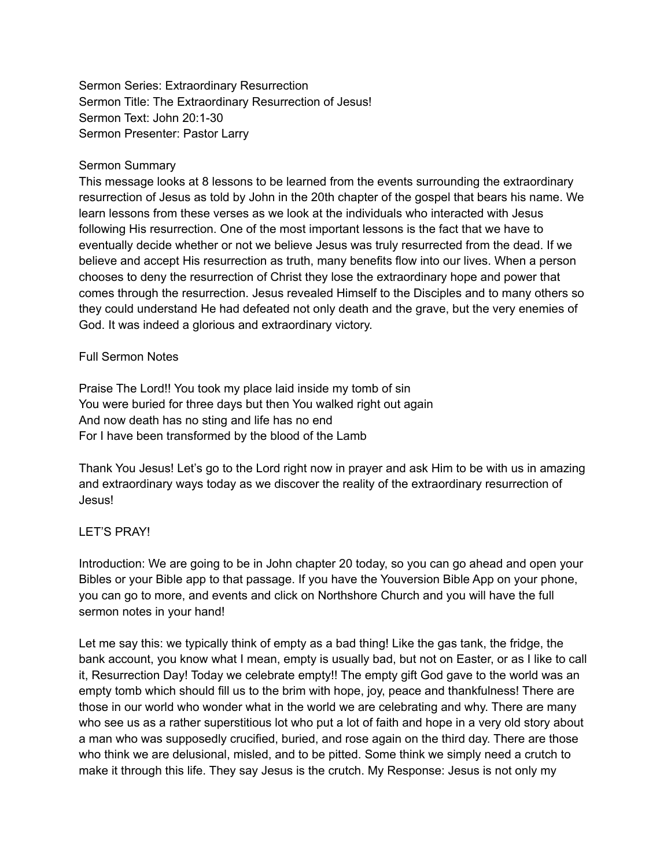Sermon Series: Extraordinary Resurrection Sermon Title: The Extraordinary Resurrection of Jesus! Sermon Text: John 20:1-30 Sermon Presenter: Pastor Larry

#### Sermon Summary

This message looks at 8 lessons to be learned from the events surrounding the extraordinary resurrection of Jesus as told by John in the 20th chapter of the gospel that bears his name. We learn lessons from these verses as we look at the individuals who interacted with Jesus following His resurrection. One of the most important lessons is the fact that we have to eventually decide whether or not we believe Jesus was truly resurrected from the dead. If we believe and accept His resurrection as truth, many benefits flow into our lives. When a person chooses to deny the resurrection of Christ they lose the extraordinary hope and power that comes through the resurrection. Jesus revealed Himself to the Disciples and to many others so they could understand He had defeated not only death and the grave, but the very enemies of God. It was indeed a glorious and extraordinary victory.

#### Full Sermon Notes

Praise The Lord!! You took my place laid inside my tomb of sin You were buried for three days but then You walked right out again And now death has no sting and life has no end For I have been transformed by the blood of the Lamb

Thank You Jesus! Let's go to the Lord right now in prayer and ask Him to be with us in amazing and extraordinary ways today as we discover the reality of the extraordinary resurrection of Jesus!

#### LET'S PRAY!

Introduction: We are going to be in John chapter 20 today, so you can go ahead and open your Bibles or your Bible app to that passage. If you have the Youversion Bible App on your phone, you can go to more, and events and click on Northshore Church and you will have the full sermon notes in your hand!

Let me say this: we typically think of empty as a bad thing! Like the gas tank, the fridge, the bank account, you know what I mean, empty is usually bad, but not on Easter, or as I like to call it, Resurrection Day! Today we celebrate empty!! The empty gift God gave to the world was an empty tomb which should fill us to the brim with hope, joy, peace and thankfulness! There are those in our world who wonder what in the world we are celebrating and why. There are many who see us as a rather superstitious lot who put a lot of faith and hope in a very old story about a man who was supposedly crucified, buried, and rose again on the third day. There are those who think we are delusional, misled, and to be pitted. Some think we simply need a crutch to make it through this life. They say Jesus is the crutch. My Response: Jesus is not only my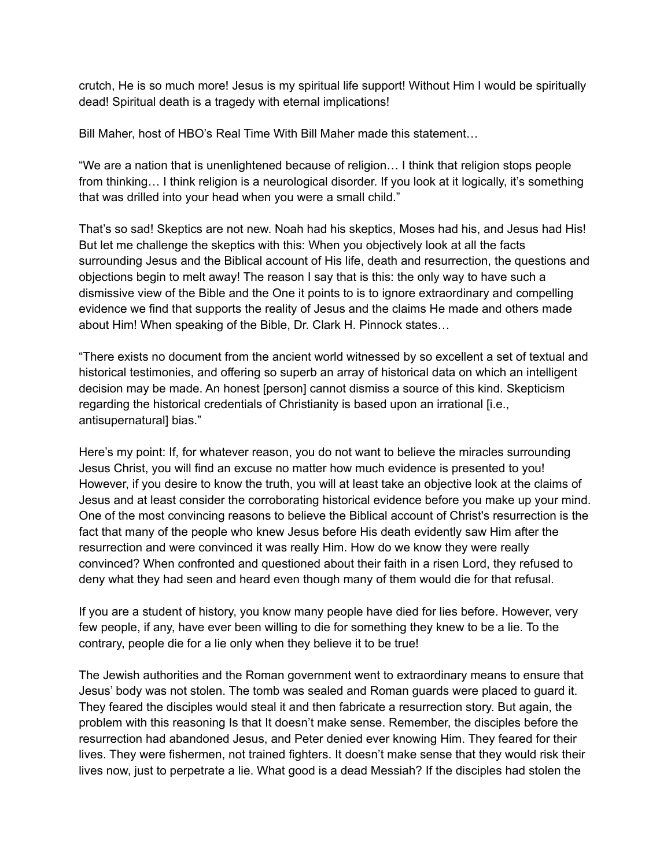crutch, He is so much more! Jesus is my spiritual life support! Without Him I would be spiritually dead! Spiritual death is a tragedy with eternal implications!

Bill Maher, host of HBO's Real Time With Bill Maher made this statement…

"We are a nation that is unenlightened because of religion… I think that religion stops people from thinking… I think religion is a neurological disorder. If you look at it logically, it's something that was drilled into your head when you were a small child."

That's so sad! Skeptics are not new. Noah had his skeptics, Moses had his, and Jesus had His! But let me challenge the skeptics with this: When you objectively look at all the facts surrounding Jesus and the Biblical account of His life, death and resurrection, the questions and objections begin to melt away! The reason I say that is this: the only way to have such a dismissive view of the Bible and the One it points to is to ignore extraordinary and compelling evidence we find that supports the reality of Jesus and the claims He made and others made about Him! When speaking of the Bible, Dr. Clark H. Pinnock states…

"There exists no document from the ancient world witnessed by so excellent a set of textual and historical testimonies, and offering so superb an array of historical data on which an intelligent decision may be made. An honest [person] cannot dismiss a source of this kind. Skepticism regarding the historical credentials of Christianity is based upon an irrational [i.e., antisupernatural] bias."

Here's my point: If, for whatever reason, you do not want to believe the miracles surrounding Jesus Christ, you will find an excuse no matter how much evidence is presented to you! However, if you desire to know the truth, you will at least take an objective look at the claims of Jesus and at least consider the corroborating historical evidence before you make up your mind. One of the most convincing reasons to believe the Biblical account of Christ's resurrection is the fact that many of the people who knew Jesus before His death evidently saw Him after the resurrection and were convinced it was really Him. How do we know they were really convinced? When confronted and questioned about their faith in a risen Lord, they refused to deny what they had seen and heard even though many of them would die for that refusal.

If you are a student of history, you know many people have died for lies before. However, very few people, if any, have ever been willing to die for something they knew to be a lie. To the contrary, people die for a lie only when they believe it to be true!

The Jewish authorities and the Roman government went to extraordinary means to ensure that Jesus' body was not stolen. The tomb was sealed and Roman guards were placed to guard it. They feared the disciples would steal it and then fabricate a resurrection story. But again, the problem with this reasoning Is that It doesn't make sense. Remember, the disciples before the resurrection had abandoned Jesus, and Peter denied ever knowing Him. They feared for their lives. They were fishermen, not trained fighters. It doesn't make sense that they would risk their lives now, just to perpetrate a lie. What good is a dead Messiah? If the disciples had stolen the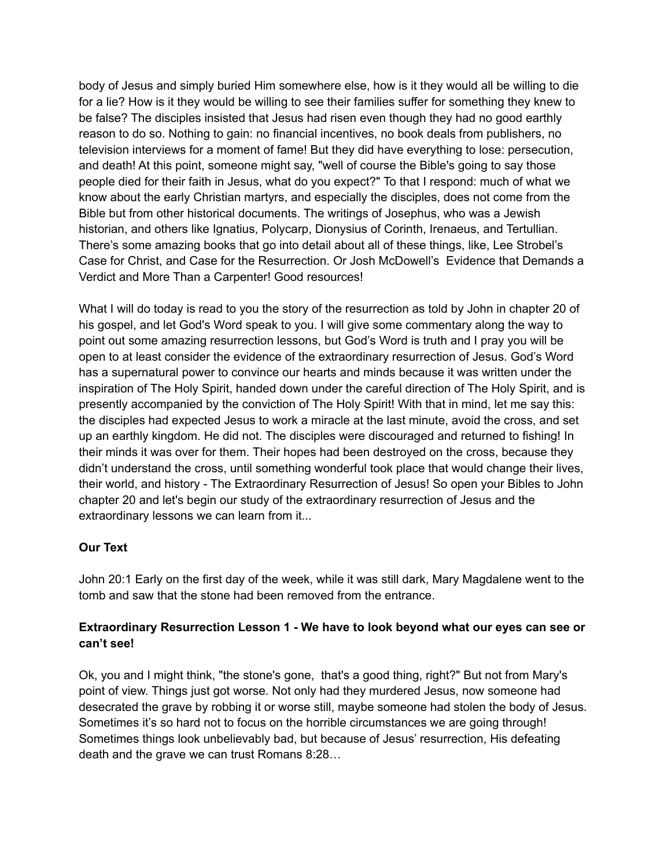body of Jesus and simply buried Him somewhere else, how is it they would all be willing to die for a lie? How is it they would be willing to see their families suffer for something they knew to be false? The disciples insisted that Jesus had risen even though they had no good earthly reason to do so. Nothing to gain: no financial incentives, no book deals from publishers, no television interviews for a moment of fame! But they did have everything to lose: persecution, and death! At this point, someone might say, "well of course the Bible's going to say those people died for their faith in Jesus, what do you expect?" To that I respond: much of what we know about the early Christian martyrs, and especially the disciples, does not come from the Bible but from other historical documents. The writings of Josephus, who was a Jewish historian, and others like Ignatius, Polycarp, Dionysius of Corinth, Irenaeus, and Tertullian. There's some amazing books that go into detail about all of these things, like, Lee Strobel's Case for Christ, and Case for the Resurrection. Or Josh McDowell's Evidence that Demands a Verdict and More Than a Carpenter! Good resources!

What I will do today is read to you the story of the resurrection as told by John in chapter 20 of his gospel, and let God's Word speak to you. I will give some commentary along the way to point out some amazing resurrection lessons, but God's Word is truth and I pray you will be open to at least consider the evidence of the extraordinary resurrection of Jesus. God's Word has a supernatural power to convince our hearts and minds because it was written under the inspiration of The Holy Spirit, handed down under the careful direction of The Holy Spirit, and is presently accompanied by the conviction of The Holy Spirit! With that in mind, let me say this: the disciples had expected Jesus to work a miracle at the last minute, avoid the cross, and set up an earthly kingdom. He did not. The disciples were discouraged and returned to fishing! In their minds it was over for them. Their hopes had been destroyed on the cross, because they didn't understand the cross, until something wonderful took place that would change their lives, their world, and history - The Extraordinary Resurrection of Jesus! So open your Bibles to John chapter 20 and let's begin our study of the extraordinary resurrection of Jesus and the extraordinary lessons we can learn from it...

## **Our Text**

John 20:1 Early on the first day of the week, while it was still dark, Mary Magdalene went to the tomb and saw that the stone had been removed from the entrance.

## **Extraordinary Resurrection Lesson 1 - We have to look beyond what our eyes can see or can't see!**

Ok, you and I might think, "the stone's gone, that's a good thing, right?" But not from Mary's point of view. Things just got worse. Not only had they murdered Jesus, now someone had desecrated the grave by robbing it or worse still, maybe someone had stolen the body of Jesus. Sometimes it's so hard not to focus on the horrible circumstances we are going through! Sometimes things look unbelievably bad, but because of Jesus' resurrection, His defeating death and the grave we can trust Romans 8:28…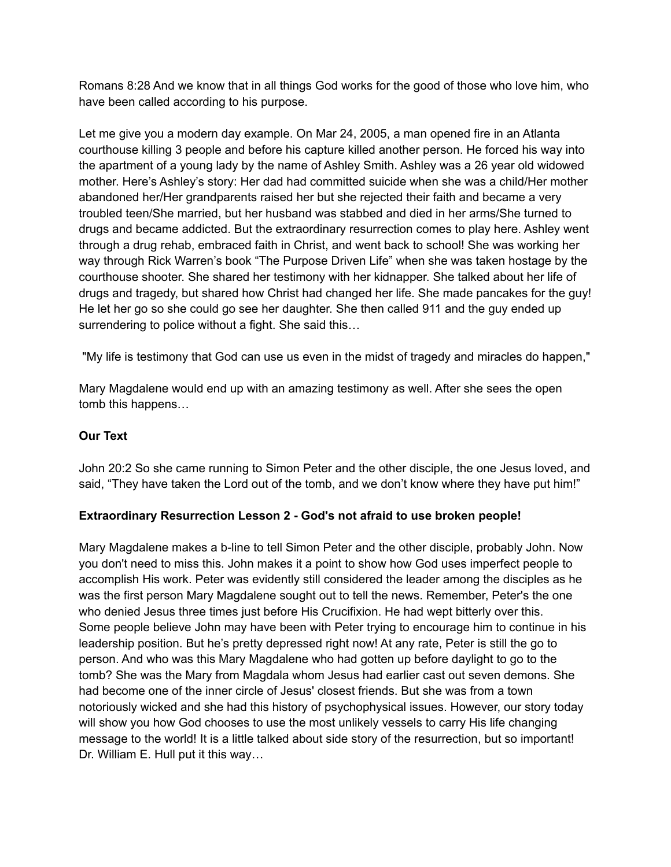Romans 8:28 And we know that in all things God works for the good of those who love him, who have been called according to his purpose.

Let me give you a modern day example. On Mar 24, 2005, a man opened fire in an Atlanta courthouse killing 3 people and before his capture killed another person. He forced his way into the apartment of a young lady by the name of Ashley Smith. Ashley was a 26 year old widowed mother. Here's Ashley's story: Her dad had committed suicide when she was a child/Her mother abandoned her/Her grandparents raised her but she rejected their faith and became a very troubled teen/She married, but her husband was stabbed and died in her arms/She turned to drugs and became addicted. But the extraordinary resurrection comes to play here. Ashley went through a drug rehab, embraced faith in Christ, and went back to school! She was working her way through Rick Warren's book "The Purpose Driven Life" when she was taken hostage by the courthouse shooter. She shared her testimony with her kidnapper. She talked about her life of drugs and tragedy, but shared how Christ had changed her life. She made pancakes for the guy! He let her go so she could go see her daughter. She then called 911 and the guy ended up surrendering to police without a fight. She said this…

"My life is testimony that God can use us even in the midst of tragedy and miracles do happen,"

Mary Magdalene would end up with an amazing testimony as well. After she sees the open tomb this happens…

## **Our Text**

John 20:2 So she came running to Simon Peter and the other disciple, the one Jesus loved, and said, "They have taken the Lord out of the tomb, and we don't know where they have put him!"

## **Extraordinary Resurrection Lesson 2 - God's not afraid to use broken people!**

Mary Magdalene makes a b-line to tell Simon Peter and the other disciple, probably John. Now you don't need to miss this. John makes it a point to show how God uses imperfect people to accomplish His work. Peter was evidently still considered the leader among the disciples as he was the first person Mary Magdalene sought out to tell the news. Remember, Peter's the one who denied Jesus three times just before His Crucifixion. He had wept bitterly over this. Some people believe John may have been with Peter trying to encourage him to continue in his leadership position. But he's pretty depressed right now! At any rate, Peter is still the go to person. And who was this Mary Magdalene who had gotten up before daylight to go to the tomb? She was the Mary from Magdala whom Jesus had earlier cast out seven demons. She had become one of the inner circle of Jesus' closest friends. But she was from a town notoriously wicked and she had this history of psychophysical issues. However, our story today will show you how God chooses to use the most unlikely vessels to carry His life changing message to the world! It is a little talked about side story of the resurrection, but so important! Dr. William E. Hull put it this way…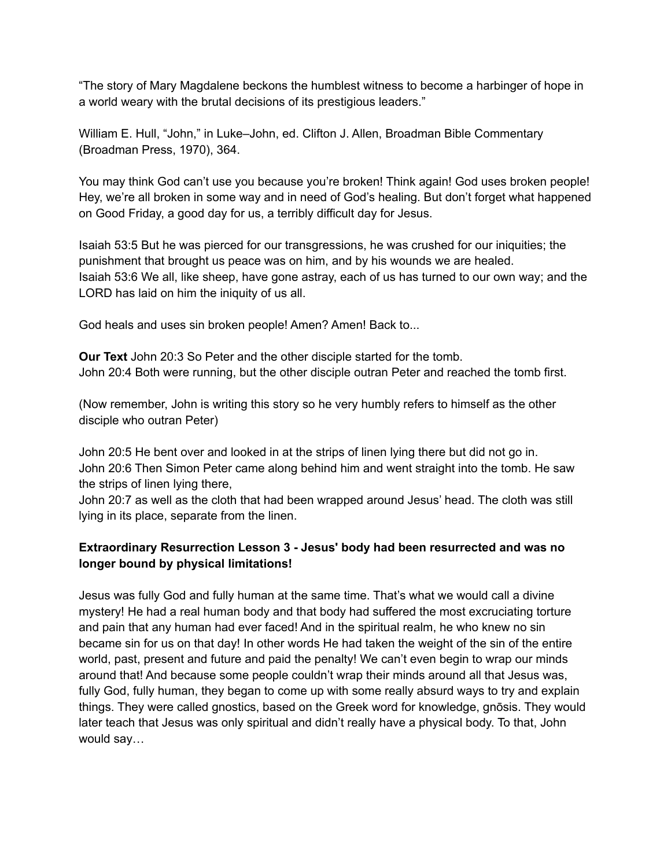"The story of Mary Magdalene beckons the humblest witness to become a harbinger of hope in a world weary with the brutal decisions of its prestigious leaders."

William E. Hull, "John," in Luke–John, ed. Clifton J. Allen, Broadman Bible Commentary (Broadman Press, 1970), 364.

You may think God can't use you because you're broken! Think again! God uses broken people! Hey, we're all broken in some way and in need of God's healing. But don't forget what happened on Good Friday, a good day for us, a terribly difficult day for Jesus.

Isaiah 53:5 But he was pierced for our transgressions, he was crushed for our iniquities; the punishment that brought us peace was on him, and by his wounds we are healed. Isaiah 53:6 We all, like sheep, have gone astray, each of us has turned to our own way; and the LORD has laid on him the iniquity of us all.

God heals and uses sin broken people! Amen? Amen! Back to...

**Our Text** John 20:3 So Peter and the other disciple started for the tomb. John 20:4 Both were running, but the other disciple outran Peter and reached the tomb first.

(Now remember, John is writing this story so he very humbly refers to himself as the other disciple who outran Peter)

John 20:5 He bent over and looked in at the strips of linen lying there but did not go in. John 20:6 Then Simon Peter came along behind him and went straight into the tomb. He saw the strips of linen lying there,

John 20:7 as well as the cloth that had been wrapped around Jesus' head. The cloth was still lying in its place, separate from the linen.

## **Extraordinary Resurrection Lesson 3 - Jesus' body had been resurrected and was no longer bound by physical limitations!**

Jesus was fully God and fully human at the same time. That's what we would call a divine mystery! He had a real human body and that body had suffered the most excruciating torture and pain that any human had ever faced! And in the spiritual realm, he who knew no sin became sin for us on that day! In other words He had taken the weight of the sin of the entire world, past, present and future and paid the penalty! We can't even begin to wrap our minds around that! And because some people couldn't wrap their minds around all that Jesus was, fully God, fully human, they began to come up with some really absurd ways to try and explain things. They were called gnostics, based on the Greek word for knowledge, gnōsis. They would later teach that Jesus was only spiritual and didn't really have a physical body. To that, John would say…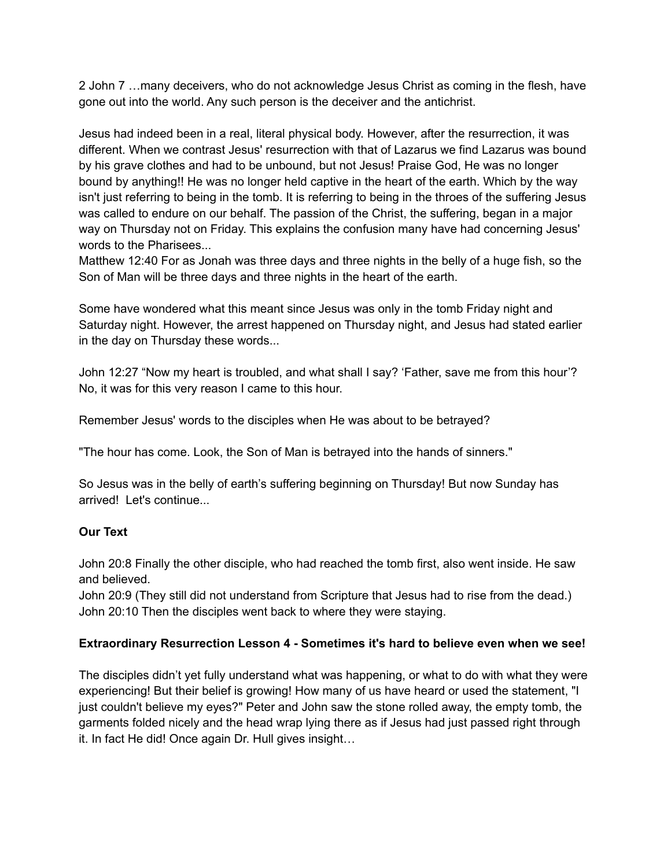2 John 7 …many deceivers, who do not acknowledge Jesus Christ as coming in the flesh, have gone out into the world. Any such person is the deceiver and the antichrist.

Jesus had indeed been in a real, literal physical body. However, after the resurrection, it was different. When we contrast Jesus' resurrection with that of Lazarus we find Lazarus was bound by his grave clothes and had to be unbound, but not Jesus! Praise God, He was no longer bound by anything!! He was no longer held captive in the heart of the earth. Which by the way isn't just referring to being in the tomb. It is referring to being in the throes of the suffering Jesus was called to endure on our behalf. The passion of the Christ, the suffering, began in a major way on Thursday not on Friday. This explains the confusion many have had concerning Jesus' words to the Pharisees...

Matthew 12:40 For as Jonah was three days and three nights in the belly of a huge fish, so the Son of Man will be three days and three nights in the heart of the earth.

Some have wondered what this meant since Jesus was only in the tomb Friday night and Saturday night. However, the arrest happened on Thursday night, and Jesus had stated earlier in the day on Thursday these words...

John 12:27 "Now my heart is troubled, and what shall I say? 'Father, save me from this hour'? No, it was for this very reason I came to this hour.

Remember Jesus' words to the disciples when He was about to be betrayed?

"The hour has come. Look, the Son of Man is betrayed into the hands of sinners."

So Jesus was in the belly of earth's suffering beginning on Thursday! But now Sunday has arrived! Let's continue...

#### **Our Text**

John 20:8 Finally the other disciple, who had reached the tomb first, also went inside. He saw and believed.

John 20:9 (They still did not understand from Scripture that Jesus had to rise from the dead.) John 20:10 Then the disciples went back to where they were staying.

## **Extraordinary Resurrection Lesson 4 - Sometimes it's hard to believe even when we see!**

The disciples didn't yet fully understand what was happening, or what to do with what they were experiencing! But their belief is growing! How many of us have heard or used the statement, "I just couldn't believe my eyes?" Peter and John saw the stone rolled away, the empty tomb, the garments folded nicely and the head wrap lying there as if Jesus had just passed right through it. In fact He did! Once again Dr. Hull gives insight…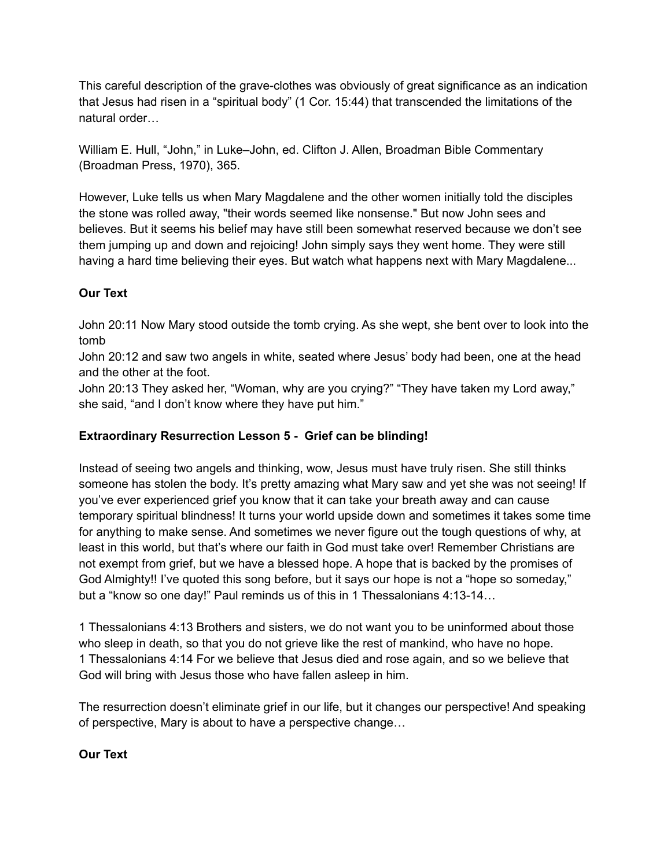This careful description of the grave-clothes was obviously of great significance as an indication that Jesus had risen in a "spiritual body" (1 Cor. 15:44) that transcended the limitations of the natural order…

William E. Hull, "John," in Luke–John, ed. Clifton J. Allen, Broadman Bible Commentary (Broadman Press, 1970), 365.

However, Luke tells us when Mary Magdalene and the other women initially told the disciples the stone was rolled away, "their words seemed like nonsense." But now John sees and believes. But it seems his belief may have still been somewhat reserved because we don't see them jumping up and down and rejoicing! John simply says they went home. They were still having a hard time believing their eyes. But watch what happens next with Mary Magdalene...

## **Our Text**

John 20:11 Now Mary stood outside the tomb crying. As she wept, she bent over to look into the tomb

John 20:12 and saw two angels in white, seated where Jesus' body had been, one at the head and the other at the foot.

John 20:13 They asked her, "Woman, why are you crying?" "They have taken my Lord away," she said, "and I don't know where they have put him."

## **Extraordinary Resurrection Lesson 5 - Grief can be blinding!**

Instead of seeing two angels and thinking, wow, Jesus must have truly risen. She still thinks someone has stolen the body. It's pretty amazing what Mary saw and yet she was not seeing! If you've ever experienced grief you know that it can take your breath away and can cause temporary spiritual blindness! It turns your world upside down and sometimes it takes some time for anything to make sense. And sometimes we never figure out the tough questions of why, at least in this world, but that's where our faith in God must take over! Remember Christians are not exempt from grief, but we have a blessed hope. A hope that is backed by the promises of God Almighty!! I've quoted this song before, but it says our hope is not a "hope so someday," but a "know so one day!" Paul reminds us of this in 1 Thessalonians 4:13-14…

1 Thessalonians 4:13 Brothers and sisters, we do not want you to be uninformed about those who sleep in death, so that you do not grieve like the rest of mankind, who have no hope. 1 Thessalonians 4:14 For we believe that Jesus died and rose again, and so we believe that God will bring with Jesus those who have fallen asleep in him.

The resurrection doesn't eliminate grief in our life, but it changes our perspective! And speaking of perspective, Mary is about to have a perspective change…

## **Our Text**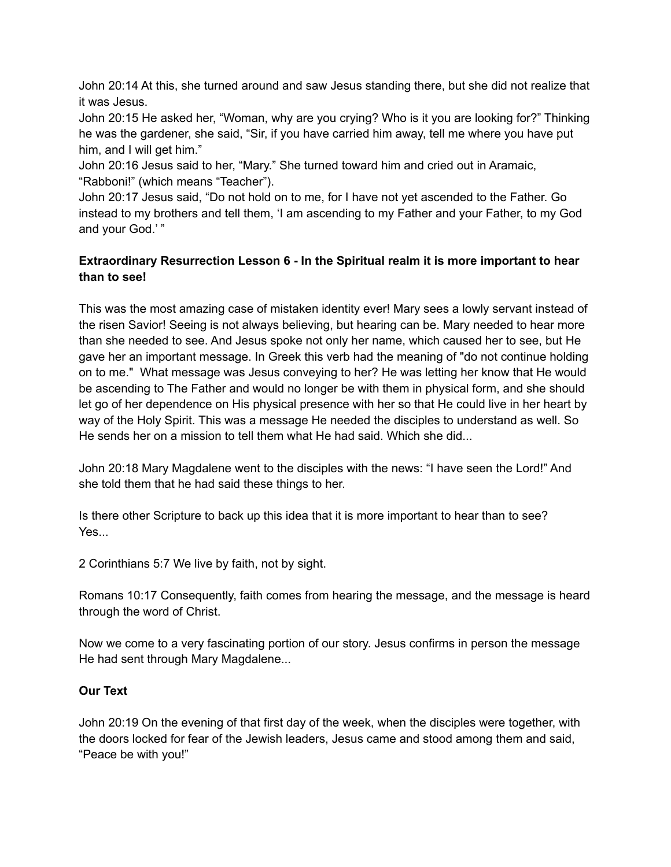John 20:14 At this, she turned around and saw Jesus standing there, but she did not realize that it was Jesus.

John 20:15 He asked her, "Woman, why are you crying? Who is it you are looking for?" Thinking he was the gardener, she said, "Sir, if you have carried him away, tell me where you have put him, and I will get him."

John 20:16 Jesus said to her, "Mary." She turned toward him and cried out in Aramaic, "Rabboni!" (which means "Teacher").

John 20:17 Jesus said, "Do not hold on to me, for I have not yet ascended to the Father. Go instead to my brothers and tell them, 'I am ascending to my Father and your Father, to my God and your God.' "

## **Extraordinary Resurrection Lesson 6 - In the Spiritual realm it is more important to hear than to see!**

This was the most amazing case of mistaken identity ever! Mary sees a lowly servant instead of the risen Savior! Seeing is not always believing, but hearing can be. Mary needed to hear more than she needed to see. And Jesus spoke not only her name, which caused her to see, but He gave her an important message. In Greek this verb had the meaning of "do not continue holding on to me." What message was Jesus conveying to her? He was letting her know that He would be ascending to The Father and would no longer be with them in physical form, and she should let go of her dependence on His physical presence with her so that He could live in her heart by way of the Holy Spirit. This was a message He needed the disciples to understand as well. So He sends her on a mission to tell them what He had said. Which she did...

John 20:18 Mary Magdalene went to the disciples with the news: "I have seen the Lord!" And she told them that he had said these things to her.

Is there other Scripture to back up this idea that it is more important to hear than to see? Yes...

2 Corinthians 5:7 We live by faith, not by sight.

Romans 10:17 Consequently, faith comes from hearing the message, and the message is heard through the word of Christ.

Now we come to a very fascinating portion of our story. Jesus confirms in person the message He had sent through Mary Magdalene...

## **Our Text**

John 20:19 On the evening of that first day of the week, when the disciples were together, with the doors locked for fear of the Jewish leaders, Jesus came and stood among them and said, "Peace be with you!"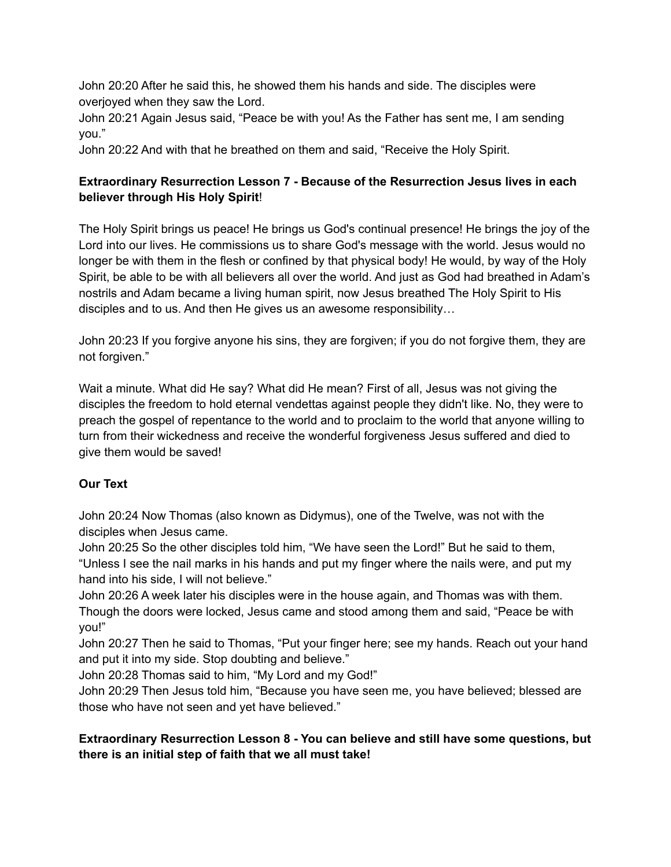John 20:20 After he said this, he showed them his hands and side. The disciples were overjoyed when they saw the Lord.

John 20:21 Again Jesus said, "Peace be with you! As the Father has sent me, I am sending you."

John 20:22 And with that he breathed on them and said, "Receive the Holy Spirit.

# **Extraordinary Resurrection Lesson 7 - Because of the Resurrection Jesus lives in each believer through His Holy Spirit**!

The Holy Spirit brings us peace! He brings us God's continual presence! He brings the joy of the Lord into our lives. He commissions us to share God's message with the world. Jesus would no longer be with them in the flesh or confined by that physical body! He would, by way of the Holy Spirit, be able to be with all believers all over the world. And just as God had breathed in Adam's nostrils and Adam became a living human spirit, now Jesus breathed The Holy Spirit to His disciples and to us. And then He gives us an awesome responsibility…

John 20:23 If you forgive anyone his sins, they are forgiven; if you do not forgive them, they are not forgiven."

Wait a minute. What did He say? What did He mean? First of all, Jesus was not giving the disciples the freedom to hold eternal vendettas against people they didn't like. No, they were to preach the gospel of repentance to the world and to proclaim to the world that anyone willing to turn from their wickedness and receive the wonderful forgiveness Jesus suffered and died to give them would be saved!

# **Our Text**

John 20:24 Now Thomas (also known as Didymus), one of the Twelve, was not with the disciples when Jesus came.

John 20:25 So the other disciples told him, "We have seen the Lord!" But he said to them, "Unless I see the nail marks in his hands and put my finger where the nails were, and put my hand into his side, I will not believe."

John 20:26 A week later his disciples were in the house again, and Thomas was with them. Though the doors were locked, Jesus came and stood among them and said, "Peace be with you!"

John 20:27 Then he said to Thomas, "Put your finger here; see my hands. Reach out your hand and put it into my side. Stop doubting and believe."

John 20:28 Thomas said to him, "My Lord and my God!"

John 20:29 Then Jesus told him, "Because you have seen me, you have believed; blessed are those who have not seen and yet have believed."

## **Extraordinary Resurrection Lesson 8 - You can believe and still have some questions, but there is an initial step of faith that we all must take!**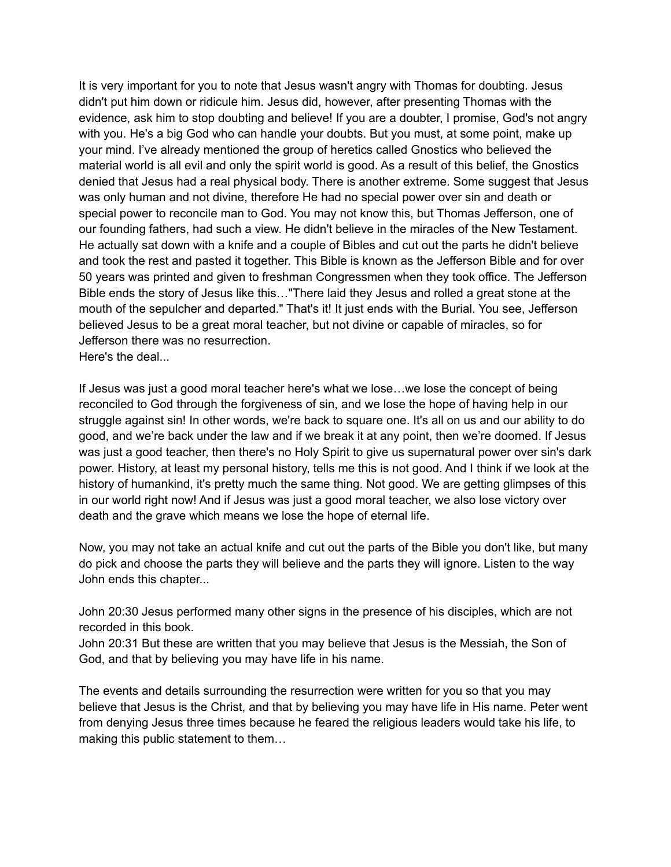It is very important for you to note that Jesus wasn't angry with Thomas for doubting. Jesus didn't put him down or ridicule him. Jesus did, however, after presenting Thomas with the evidence, ask him to stop doubting and believe! If you are a doubter, I promise, God's not angry with you. He's a big God who can handle your doubts. But you must, at some point, make up your mind. I've already mentioned the group of heretics called Gnostics who believed the material world is all evil and only the spirit world is good. As a result of this belief, the Gnostics denied that Jesus had a real physical body. There is another extreme. Some suggest that Jesus was only human and not divine, therefore He had no special power over sin and death or special power to reconcile man to God. You may not know this, but Thomas Jefferson, one of our founding fathers, had such a view. He didn't believe in the miracles of the New Testament. He actually sat down with a knife and a couple of Bibles and cut out the parts he didn't believe and took the rest and pasted it together. This Bible is known as the Jefferson Bible and for over 50 years was printed and given to freshman Congressmen when they took office. The Jefferson Bible ends the story of Jesus like this…"There laid they Jesus and rolled a great stone at the mouth of the sepulcher and departed." That's it! It just ends with the Burial. You see, Jefferson believed Jesus to be a great moral teacher, but not divine or capable of miracles, so for Jefferson there was no resurrection. Here's the deal...

If Jesus was just a good moral teacher here's what we lose…we lose the concept of being reconciled to God through the forgiveness of sin, and we lose the hope of having help in our struggle against sin! In other words, we're back to square one. It's all on us and our ability to do good, and we're back under the law and if we break it at any point, then we're doomed. If Jesus was just a good teacher, then there's no Holy Spirit to give us supernatural power over sin's dark power. History, at least my personal history, tells me this is not good. And I think if we look at the history of humankind, it's pretty much the same thing. Not good. We are getting glimpses of this in our world right now! And if Jesus was just a good moral teacher, we also lose victory over death and the grave which means we lose the hope of eternal life.

Now, you may not take an actual knife and cut out the parts of the Bible you don't like, but many do pick and choose the parts they will believe and the parts they will ignore. Listen to the way John ends this chapter...

John 20:30 Jesus performed many other signs in the presence of his disciples, which are not recorded in this book.

John 20:31 But these are written that you may believe that Jesus is the Messiah, the Son of God, and that by believing you may have life in his name.

The events and details surrounding the resurrection were written for you so that you may believe that Jesus is the Christ, and that by believing you may have life in His name. Peter went from denying Jesus three times because he feared the religious leaders would take his life, to making this public statement to them…